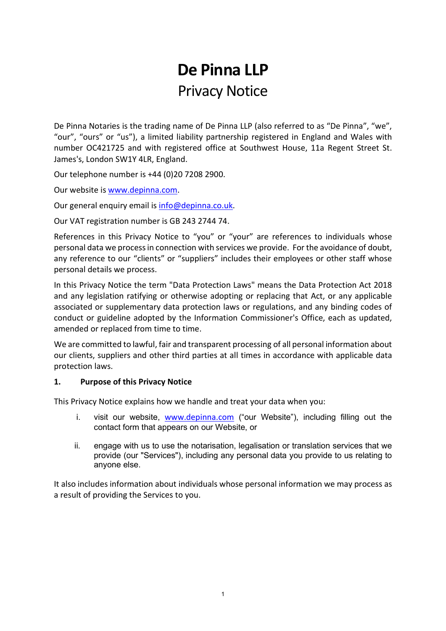# De Pinna LLP Privacy Notice

De Pinna Notaries is the trading name of De Pinna LLP (also referred to as "De Pinna", "we", "our", "ours" or "us"), a limited liability partnership registered in England and Wales with number OC421725 and with registered office at Southwest House, 11a Regent Street St. James's, London SW1Y 4LR, England.

Our telephone number is +44 (0)20 7208 2900.

Our website is www.depinna.com.

Our general enquiry email is info@depinna.co.uk.

Our VAT registration number is GB 243 2744 74.

References in this Privacy Notice to "you" or "your" are references to individuals whose personal data we process in connection with services we provide. For the avoidance of doubt, any reference to our "clients" or "suppliers" includes their employees or other staff whose personal details we process.

In this Privacy Notice the term "Data Protection Laws" means the Data Protection Act 2018 and any legislation ratifying or otherwise adopting or replacing that Act, or any applicable associated or supplementary data protection laws or regulations, and any binding codes of conduct or guideline adopted by the Information Commissioner's Office, each as updated, amended or replaced from time to time.

We are committed to lawful, fair and transparent processing of all personal information about our clients, suppliers and other third parties at all times in accordance with applicable data protection laws.

#### 1. Purpose of this Privacy Notice

This Privacy Notice explains how we handle and treat your data when you:

- i. visit our website, www.depinna.com ("our Website"), including filling out the contact form that appears on our Website, or
- ii. engage with us to use the notarisation, legalisation or translation services that we provide (our "Services"), including any personal data you provide to us relating to anyone else.

It also includes information about individuals whose personal information we may process as a result of providing the Services to you.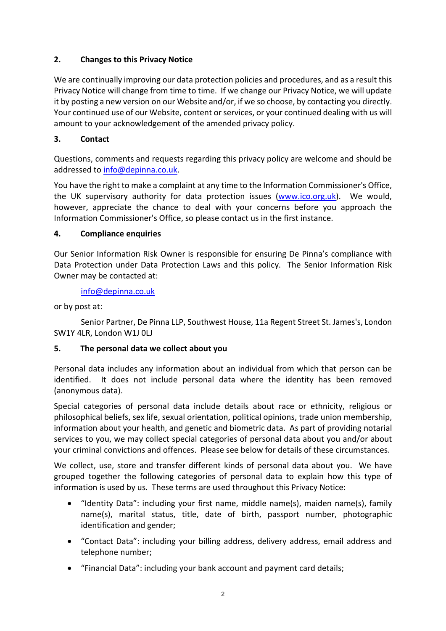## 2. Changes to this Privacy Notice

We are continually improving our data protection policies and procedures, and as a result this Privacy Notice will change from time to time. If we change our Privacy Notice, we will update it by posting a new version on our Website and/or, if we so choose, by contacting you directly. Your continued use of our Website, content or services, or your continued dealing with us will amount to your acknowledgement of the amended privacy policy.

## 3. Contact

Questions, comments and requests regarding this privacy policy are welcome and should be addressed to info@depinna.co.uk.

You have the right to make a complaint at any time to the Information Commissioner's Office, the UK supervisory authority for data protection issues (www.ico.org.uk). We would, however, appreciate the chance to deal with your concerns before you approach the Information Commissioner's Office, so please contact us in the first instance.

## 4. Compliance enquiries

Our Senior Information Risk Owner is responsible for ensuring De Pinna's compliance with Data Protection under Data Protection Laws and this policy. The Senior Information Risk Owner may be contacted at:

info@depinna.co.uk

or by post at:

 Senior Partner, De Pinna LLP, Southwest House, 11a Regent Street St. James's, London SW1Y 4LR, London W1J 0LJ

## 5. The personal data we collect about you

Personal data includes any information about an individual from which that person can be identified. It does not include personal data where the identity has been removed (anonymous data).

Special categories of personal data include details about race or ethnicity, religious or philosophical beliefs, sex life, sexual orientation, political opinions, trade union membership, information about your health, and genetic and biometric data. As part of providing notarial services to you, we may collect special categories of personal data about you and/or about your criminal convictions and offences. Please see below for details of these circumstances.

We collect, use, store and transfer different kinds of personal data about you. We have grouped together the following categories of personal data to explain how this type of information is used by us. These terms are used throughout this Privacy Notice:

- "Identity Data": including your first name, middle name(s), maiden name(s), family name(s), marital status, title, date of birth, passport number, photographic identification and gender;
- "Contact Data": including your billing address, delivery address, email address and telephone number;
- "Financial Data": including your bank account and payment card details;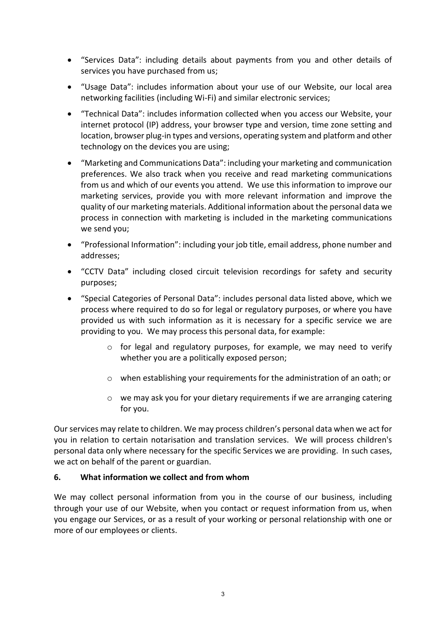- "Services Data": including details about payments from you and other details of services you have purchased from us;
- "Usage Data": includes information about your use of our Website, our local area networking facilities (including Wi-Fi) and similar electronic services;
- "Technical Data": includes information collected when you access our Website, your internet protocol (IP) address, your browser type and version, time zone setting and location, browser plug-in types and versions, operating system and platform and other technology on the devices you are using;
- "Marketing and Communications Data": including your marketing and communication preferences. We also track when you receive and read marketing communications from us and which of our events you attend. We use this information to improve our marketing services, provide you with more relevant information and improve the quality of our marketing materials. Additional information about the personal data we process in connection with marketing is included in the marketing communications we send you;
- "Professional Information": including your job title, email address, phone number and addresses;
- "CCTV Data" including closed circuit television recordings for safety and security purposes;
- "Special Categories of Personal Data": includes personal data listed above, which we process where required to do so for legal or regulatory purposes, or where you have provided us with such information as it is necessary for a specific service we are providing to you. We may process this personal data, for example:
	- $\circ$  for legal and regulatory purposes, for example, we may need to verify whether you are a politically exposed person;
	- $\circ$  when establishing your requirements for the administration of an oath; or
	- $\circ$  we may ask you for your dietary requirements if we are arranging catering for you.

Our services may relate to children. We may process children's personal data when we act for you in relation to certain notarisation and translation services. We will process children's personal data only where necessary for the specific Services we are providing. In such cases, we act on behalf of the parent or guardian.

### 6. What information we collect and from whom

We may collect personal information from you in the course of our business, including through your use of our Website, when you contact or request information from us, when you engage our Services, or as a result of your working or personal relationship with one or more of our employees or clients.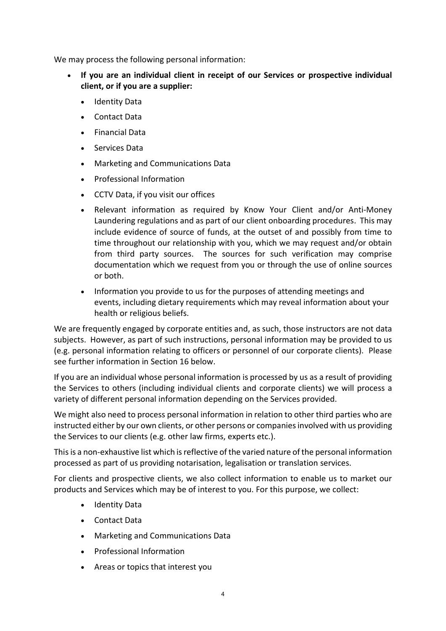We may process the following personal information:

- If you are an individual client in receipt of our Services or prospective individual client, or if you are a supplier:
	- Identity Data
	- Contact Data
	- Financial Data
	- Services Data
	- Marketing and Communications Data
	- Professional Information
	- CCTV Data, if you visit our offices
	- Relevant information as required by Know Your Client and/or Anti-Money Laundering regulations and as part of our client onboarding procedures. This may include evidence of source of funds, at the outset of and possibly from time to time throughout our relationship with you, which we may request and/or obtain from third party sources. The sources for such verification may comprise documentation which we request from you or through the use of online sources or both.
	- Information you provide to us for the purposes of attending meetings and events, including dietary requirements which may reveal information about your health or religious beliefs.

We are frequently engaged by corporate entities and, as such, those instructors are not data subjects. However, as part of such instructions, personal information may be provided to us (e.g. personal information relating to officers or personnel of our corporate clients). Please see further information in Section 16 below.

If you are an individual whose personal information is processed by us as a result of providing the Services to others (including individual clients and corporate clients) we will process a variety of different personal information depending on the Services provided.

We might also need to process personal information in relation to other third parties who are instructed either by our own clients, or other persons or companies involved with us providing the Services to our clients (e.g. other law firms, experts etc.).

This is a non-exhaustive list which is reflective of the varied nature of the personal information processed as part of us providing notarisation, legalisation or translation services.

For clients and prospective clients, we also collect information to enable us to market our products and Services which may be of interest to you. For this purpose, we collect:

- Identity Data
- Contact Data
- Marketing and Communications Data
- Professional Information
- Areas or topics that interest you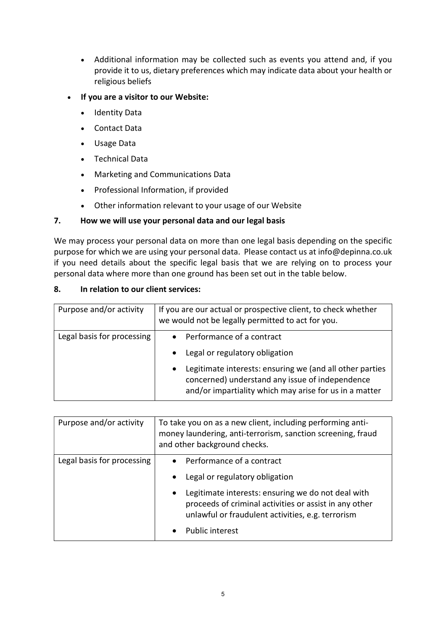- Additional information may be collected such as events you attend and, if you provide it to us, dietary preferences which may indicate data about your health or religious beliefs
- If you are a visitor to our Website:
	- Identity Data
	- Contact Data
	- Usage Data
	- Technical Data
	- Marketing and Communications Data
	- Professional Information, if provided
	- Other information relevant to your usage of our Website

### 7. How we will use your personal data and our legal basis

We may process your personal data on more than one legal basis depending on the specific purpose for which we are using your personal data. Please contact us at info@depinna.co.uk if you need details about the specific legal basis that we are relying on to process your personal data where more than one ground has been set out in the table below.

### 8. In relation to our client services:

| Purpose and/or activity    | If you are our actual or prospective client, to check whether<br>we would not be legally permitted to act for you.                                                                 |
|----------------------------|------------------------------------------------------------------------------------------------------------------------------------------------------------------------------------|
| Legal basis for processing | Performance of a contract<br>Legal or regulatory obligation                                                                                                                        |
|                            | Legitimate interests: ensuring we (and all other parties<br>$\bullet$<br>concerned) understand any issue of independence<br>and/or impartiality which may arise for us in a matter |

| Purpose and/or activity    | To take you on as a new client, including performing anti-<br>money laundering, anti-terrorism, sanction screening, fraud<br>and other background checks.                                               |
|----------------------------|---------------------------------------------------------------------------------------------------------------------------------------------------------------------------------------------------------|
| Legal basis for processing | • Performance of a contract<br>Legal or regulatory obligation<br>$\bullet$<br>Legitimate interests: ensuring we do not deal with<br>$\bullet$<br>proceeds of criminal activities or assist in any other |
|                            | unlawful or fraudulent activities, e.g. terrorism<br>Public interest<br>$\bullet$                                                                                                                       |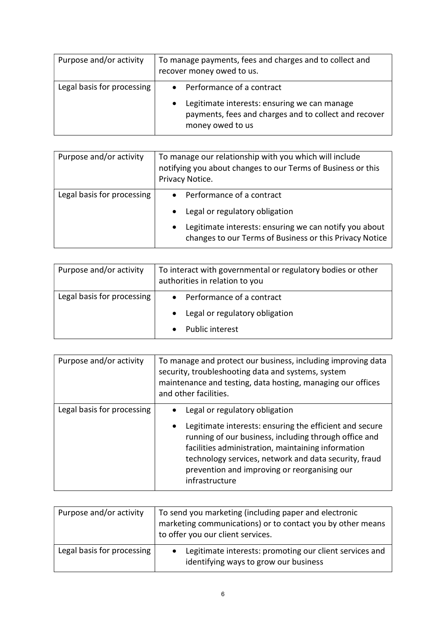| Purpose and/or activity    | To manage payments, fees and charges and to collect and<br>recover money owed to us.                                                                     |
|----------------------------|----------------------------------------------------------------------------------------------------------------------------------------------------------|
| Legal basis for processing | • Performance of a contract<br>Legitimate interests: ensuring we can manage<br>payments, fees and charges and to collect and recover<br>money owed to us |

| Purpose and/or activity    | To manage our relationship with you which will include<br>notifying you about changes to our Terms of Business or this<br>Privacy Notice. |
|----------------------------|-------------------------------------------------------------------------------------------------------------------------------------------|
| Legal basis for processing | • Performance of a contract                                                                                                               |
|                            | Legal or regulatory obligation                                                                                                            |
|                            | Legitimate interests: ensuring we can notify you about<br>$\bullet$<br>changes to our Terms of Business or this Privacy Notice            |

| Purpose and/or activity    | To interact with governmental or regulatory bodies or other<br>authorities in relation to you |
|----------------------------|-----------------------------------------------------------------------------------------------|
| Legal basis for processing | • Performance of a contract                                                                   |
|                            | Legal or regulatory obligation                                                                |
|                            | <b>Public interest</b>                                                                        |

| Purpose and/or activity    | To manage and protect our business, including improving data<br>security, troubleshooting data and systems, system<br>maintenance and testing, data hosting, managing our offices<br>and other facilities.                                                                                                                                       |
|----------------------------|--------------------------------------------------------------------------------------------------------------------------------------------------------------------------------------------------------------------------------------------------------------------------------------------------------------------------------------------------|
| Legal basis for processing | Legal or regulatory obligation<br>Legitimate interests: ensuring the efficient and secure<br>$\bullet$<br>running of our business, including through office and<br>facilities administration, maintaining information<br>technology services, network and data security, fraud<br>prevention and improving or reorganising our<br>infrastructure |

| Purpose and/or activity    | To send you marketing (including paper and electronic<br>marketing communications) or to contact you by other means<br>to offer you our client services. |
|----------------------------|----------------------------------------------------------------------------------------------------------------------------------------------------------|
| Legal basis for processing | Legitimate interests: promoting our client services and<br>identifying ways to grow our business                                                         |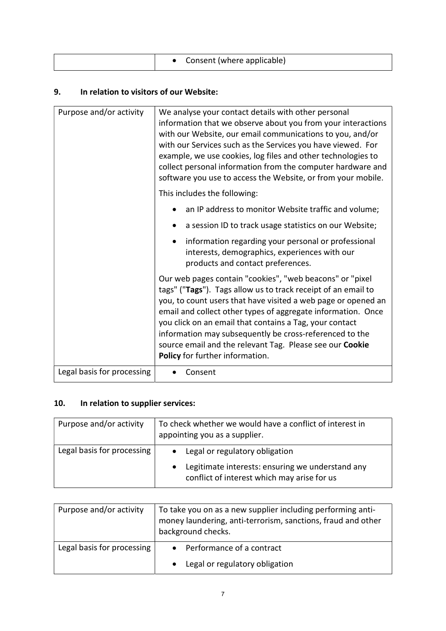| Consent (where applicable) |
|----------------------------|

## 9. In relation to visitors of our Website:

| Purpose and/or activity    | We analyse your contact details with other personal<br>information that we observe about you from your interactions<br>with our Website, our email communications to you, and/or<br>with our Services such as the Services you have viewed. For<br>example, we use cookies, log files and other technologies to<br>collect personal information from the computer hardware and<br>software you use to access the Website, or from your mobile.                                  |
|----------------------------|---------------------------------------------------------------------------------------------------------------------------------------------------------------------------------------------------------------------------------------------------------------------------------------------------------------------------------------------------------------------------------------------------------------------------------------------------------------------------------|
|                            | This includes the following:                                                                                                                                                                                                                                                                                                                                                                                                                                                    |
|                            | an IP address to monitor Website traffic and volume;                                                                                                                                                                                                                                                                                                                                                                                                                            |
|                            | a session ID to track usage statistics on our Website;                                                                                                                                                                                                                                                                                                                                                                                                                          |
|                            | information regarding your personal or professional<br>interests, demographics, experiences with our<br>products and contact preferences.                                                                                                                                                                                                                                                                                                                                       |
|                            | Our web pages contain "cookies", "web beacons" or "pixel<br>tags" ("Tags"). Tags allow us to track receipt of an email to<br>you, to count users that have visited a web page or opened an<br>email and collect other types of aggregate information. Once<br>you click on an email that contains a Tag, your contact<br>information may subsequently be cross-referenced to the<br>source email and the relevant Tag. Please see our Cookie<br>Policy for further information. |
| Legal basis for processing | Consent                                                                                                                                                                                                                                                                                                                                                                                                                                                                         |

## 10. In relation to supplier services:

| Purpose and/or activity    | To check whether we would have a conflict of interest in<br>appointing you as a supplier.                                           |
|----------------------------|-------------------------------------------------------------------------------------------------------------------------------------|
| Legal basis for processing | • Legal or regulatory obligation<br>Legitimate interests: ensuring we understand any<br>conflict of interest which may arise for us |

| Purpose and/or activity    | To take you on as a new supplier including performing anti-<br>money laundering, anti-terrorism, sanctions, fraud and other<br>background checks. |
|----------------------------|---------------------------------------------------------------------------------------------------------------------------------------------------|
| Legal basis for processing | • Performance of a contract                                                                                                                       |
|                            | Legal or regulatory obligation<br>$\bullet$                                                                                                       |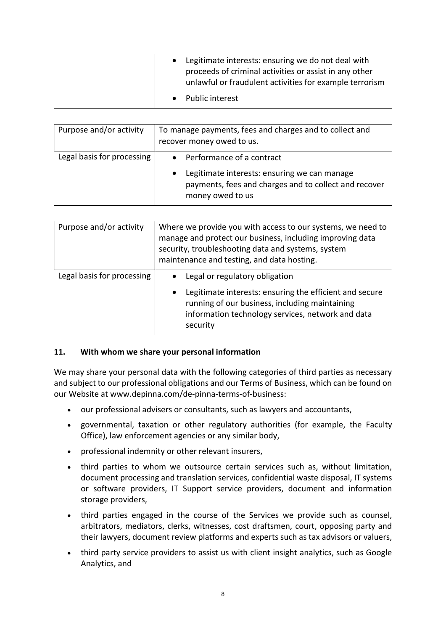| Legitimate interests: ensuring we do not deal with<br>proceeds of criminal activities or assist in any other<br>unlawful or fraudulent activities for example terrorism |
|-------------------------------------------------------------------------------------------------------------------------------------------------------------------------|
| • Public interest                                                                                                                                                       |

| Purpose and/or activity    | To manage payments, fees and charges and to collect and<br>recover money owed to us.                                                                                  |
|----------------------------|-----------------------------------------------------------------------------------------------------------------------------------------------------------------------|
| Legal basis for processing | • Performance of a contract<br>Legitimate interests: ensuring we can manage<br>$\bullet$<br>payments, fees and charges and to collect and recover<br>money owed to us |

| Purpose and/or activity    | Where we provide you with access to our systems, we need to<br>manage and protect our business, including improving data<br>security, troubleshooting data and systems, system<br>maintenance and testing, and data hosting. |
|----------------------------|------------------------------------------------------------------------------------------------------------------------------------------------------------------------------------------------------------------------------|
| Legal basis for processing | Legal or regulatory obligation<br>Legitimate interests: ensuring the efficient and secure<br>$\bullet$<br>running of our business, including maintaining<br>information technology services, network and data<br>security    |

### 11. With whom we share your personal information

We may share your personal data with the following categories of third parties as necessary and subject to our professional obligations and our Terms of Business, which can be found on our Website at www.depinna.com/de-pinna-terms-of-business:

- our professional advisers or consultants, such as lawyers and accountants,
- governmental, taxation or other regulatory authorities (for example, the Faculty Office), law enforcement agencies or any similar body,
- professional indemnity or other relevant insurers,
- third parties to whom we outsource certain services such as, without limitation, document processing and translation services, confidential waste disposal, IT systems or software providers, IT Support service providers, document and information storage providers,
- third parties engaged in the course of the Services we provide such as counsel, arbitrators, mediators, clerks, witnesses, cost draftsmen, court, opposing party and their lawyers, document review platforms and experts such as tax advisors or valuers,
- third party service providers to assist us with client insight analytics, such as Google Analytics, and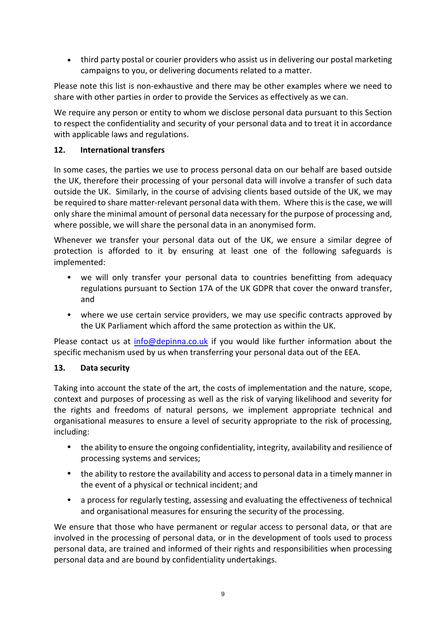third party postal or courier providers who assist us in delivering our postal marketing campaigns to you, or delivering documents related to a matter.

Please note this list is non-exhaustive and there may be other examples where we need to share with other parties in order to provide the Services as effectively as we can.

We require any person or entity to whom we disclose personal data pursuant to this Section to respect the confidentiality and security of your personal data and to treat it in accordance with applicable laws and regulations.

## 12. International transfers

In some cases, the parties we use to process personal data on our behalf are based outside the UK, therefore their processing of your personal data will involve a transfer of such data outside the UK. Similarly, in the course of advising clients based outside of the UK, we may be required to share matter-relevant personal data with them. Where this is the case, we will only share the minimal amount of personal data necessary for the purpose of processing and, where possible, we will share the personal data in an anonymised form.

Whenever we transfer your personal data out of the UK, we ensure a similar degree of protection is afforded to it by ensuring at least one of the following safeguards is implemented:

- we will only transfer your personal data to countries benefitting from adequacy regulations pursuant to Section 17A of the UK GDPR that cover the onward transfer, and
- where we use certain service providers, we may use specific contracts approved by the UK Parliament which afford the same protection as within the UK.

Please contact us at info@depinna.co.uk if you would like further information about the specific mechanism used by us when transferring your personal data out of the EEA.

### 13. Data security

Taking into account the state of the art, the costs of implementation and the nature, scope, context and purposes of processing as well as the risk of varying likelihood and severity for the rights and freedoms of natural persons, we implement appropriate technical and organisational measures to ensure a level of security appropriate to the risk of processing, including:

- the ability to ensure the ongoing confidentiality, integrity, availability and resilience of processing systems and services;
- the ability to restore the availability and access to personal data in a timely manner in the event of a physical or technical incident; and
- a process for regularly testing, assessing and evaluating the effectiveness of technical and organisational measures for ensuring the security of the processing.

We ensure that those who have permanent or regular access to personal data, or that are involved in the processing of personal data, or in the development of tools used to process personal data, are trained and informed of their rights and responsibilities when processing personal data and are bound by confidentiality undertakings.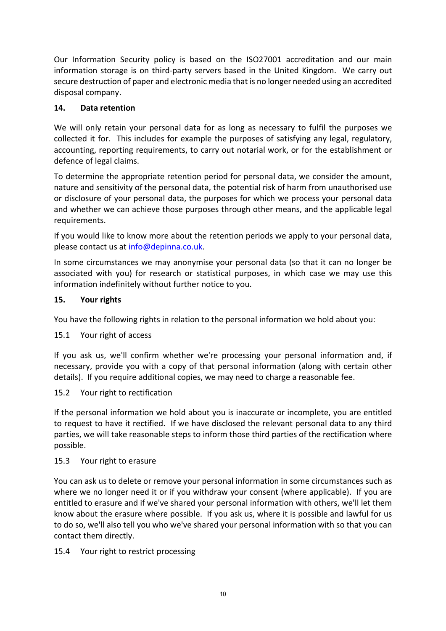Our Information Security policy is based on the ISO27001 accreditation and our main information storage is on third-party servers based in the United Kingdom. We carry out secure destruction of paper and electronic media that is no longer needed using an accredited disposal company.

## 14. Data retention

We will only retain your personal data for as long as necessary to fulfil the purposes we collected it for. This includes for example the purposes of satisfying any legal, regulatory, accounting, reporting requirements, to carry out notarial work, or for the establishment or defence of legal claims.

To determine the appropriate retention period for personal data, we consider the amount, nature and sensitivity of the personal data, the potential risk of harm from unauthorised use or disclosure of your personal data, the purposes for which we process your personal data and whether we can achieve those purposes through other means, and the applicable legal requirements.

If you would like to know more about the retention periods we apply to your personal data, please contact us at info@depinna.co.uk.

In some circumstances we may anonymise your personal data (so that it can no longer be associated with you) for research or statistical purposes, in which case we may use this information indefinitely without further notice to you.

## 15. Your rights

You have the following rights in relation to the personal information we hold about you:

### 15.1 Your right of access

If you ask us, we'll confirm whether we're processing your personal information and, if necessary, provide you with a copy of that personal information (along with certain other details). If you require additional copies, we may need to charge a reasonable fee.

### 15.2 Your right to rectification

If the personal information we hold about you is inaccurate or incomplete, you are entitled to request to have it rectified. If we have disclosed the relevant personal data to any third parties, we will take reasonable steps to inform those third parties of the rectification where possible.

### 15.3 Your right to erasure

You can ask us to delete or remove your personal information in some circumstances such as where we no longer need it or if you withdraw your consent (where applicable). If you are entitled to erasure and if we've shared your personal information with others, we'll let them know about the erasure where possible. If you ask us, where it is possible and lawful for us to do so, we'll also tell you who we've shared your personal information with so that you can contact them directly.

### 15.4 Your right to restrict processing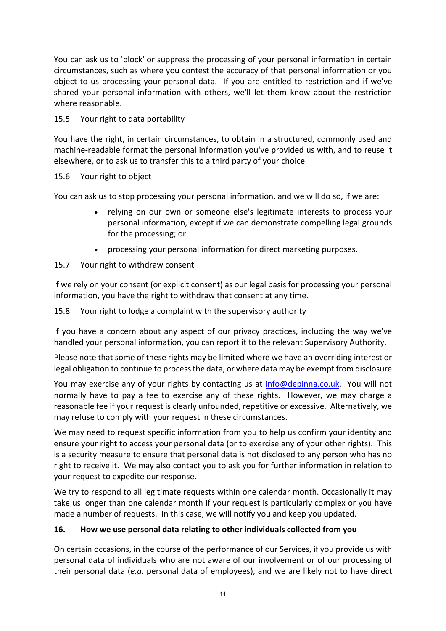You can ask us to 'block' or suppress the processing of your personal information in certain circumstances, such as where you contest the accuracy of that personal information or you object to us processing your personal data. If you are entitled to restriction and if we've shared your personal information with others, we'll let them know about the restriction where reasonable.

## 15.5 Your right to data portability

You have the right, in certain circumstances, to obtain in a structured, commonly used and machine-readable format the personal information you've provided us with, and to reuse it elsewhere, or to ask us to transfer this to a third party of your choice.

### 15.6 Your right to object

You can ask us to stop processing your personal information, and we will do so, if we are:

- relying on our own or someone else's legitimate interests to process your personal information, except if we can demonstrate compelling legal grounds for the processing; or
- processing your personal information for direct marketing purposes.
- 15.7 Your right to withdraw consent

If we rely on your consent (or explicit consent) as our legal basis for processing your personal information, you have the right to withdraw that consent at any time.

15.8 Your right to lodge a complaint with the supervisory authority

If you have a concern about any aspect of our privacy practices, including the way we've handled your personal information, you can report it to the relevant Supervisory Authority.

Please note that some of these rights may be limited where we have an overriding interest or legal obligation to continue to process the data, or where data may be exempt from disclosure.

You may exercise any of your rights by contacting us at info@depinna.co.uk. You will not normally have to pay a fee to exercise any of these rights. However, we may charge a reasonable fee if your request is clearly unfounded, repetitive or excessive. Alternatively, we may refuse to comply with your request in these circumstances.

We may need to request specific information from you to help us confirm your identity and ensure your right to access your personal data (or to exercise any of your other rights). This is a security measure to ensure that personal data is not disclosed to any person who has no right to receive it. We may also contact you to ask you for further information in relation to your request to expedite our response.

We try to respond to all legitimate requests within one calendar month. Occasionally it may take us longer than one calendar month if your request is particularly complex or you have made a number of requests. In this case, we will notify you and keep you updated.

### 16. How we use personal data relating to other individuals collected from you

On certain occasions, in the course of the performance of our Services, if you provide us with personal data of individuals who are not aware of our involvement or of our processing of their personal data (e.g. personal data of employees), and we are likely not to have direct